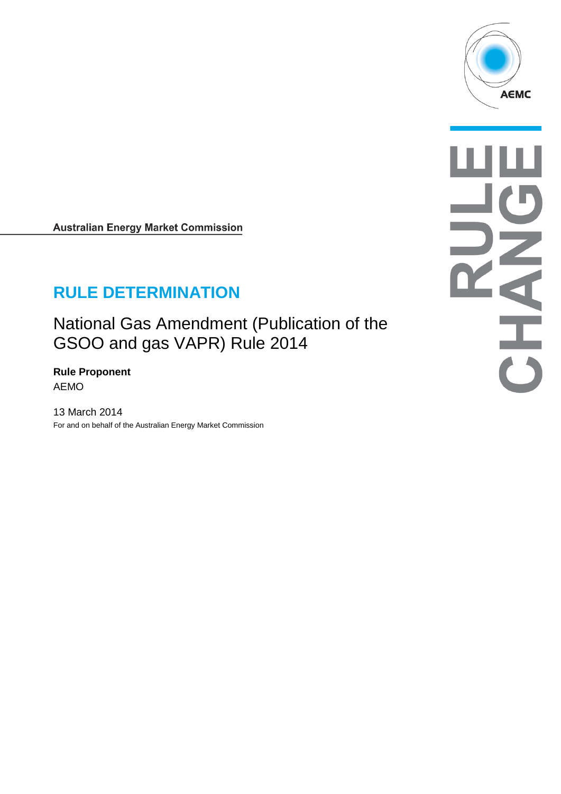

**Australian Energy Market Commission** 

# **RULE DETERMINATION**

National Gas Amendment (Publication of the GSOO and gas VAPR) Rule 2014

**Rule Proponent** AEMO

13 March 2014 For and on behalf of the Australian Energy Market Commission

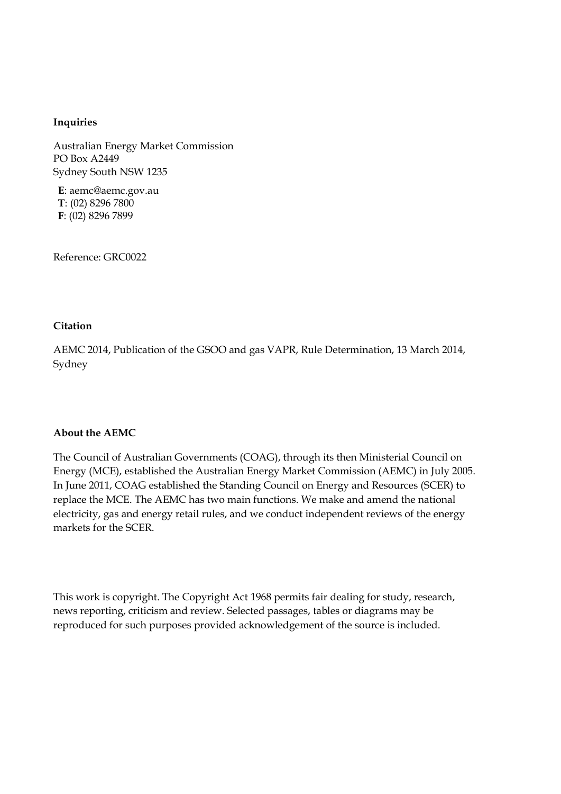#### **Inquiries**

Australian Energy Market Commission PO Box A2449 Sydney South NSW 1235

**E**: aemc@aemc.gov.au **T**: (02) 8296 7800 **F**: (02) 8296 7899

Reference: GRC0022

#### **Citation**

AEMC 2014, Publication of the GSOO and gas VAPR, Rule Determination, 13 March 2014, Sydney

#### **About the AEMC**

The Council of Australian Governments (COAG), through its then Ministerial Council on Energy (MCE), established the Australian Energy Market Commission (AEMC) in July 2005. In June 2011, COAG established the Standing Council on Energy and Resources (SCER) to replace the MCE. The AEMC has two main functions. We make and amend the national electricity, gas and energy retail rules, and we conduct independent reviews of the energy markets for the SCER.

This work is copyright. The Copyright Act 1968 permits fair dealing for study, research, news reporting, criticism and review. Selected passages, tables or diagrams may be reproduced for such purposes provided acknowledgement of the source is included.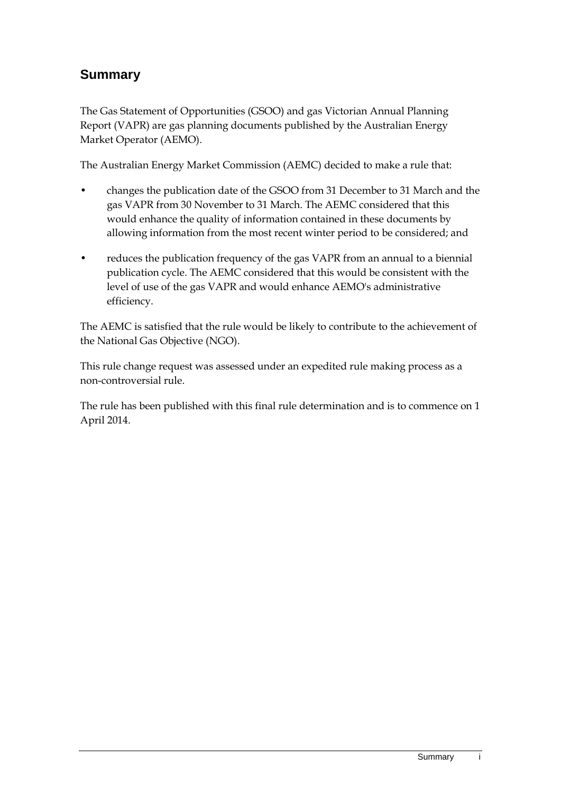## **Summary**

The Gas Statement of Opportunities (GSOO) and gas Victorian Annual Planning Report (VAPR) are gas planning documents published by the Australian Energy Market Operator (AEMO).

The Australian Energy Market Commission (AEMC) decided to make a rule that:

- changes the publication date of the GSOO from 31 December to 31 March and the gas VAPR from 30 November to 31 March. The AEMC considered that this would enhance the quality of information contained in these documents by allowing information from the most recent winter period to be considered; and
- reduces the publication frequency of the gas VAPR from an annual to a biennial publication cycle. The AEMC considered that this would be consistent with the level of use of the gas VAPR and would enhance AEMO's administrative efficiency.

The AEMC is satisfied that the rule would be likely to contribute to the achievement of the National Gas Objective (NGO).

This rule change request was assessed under an expedited rule making process as a non-controversial rule.

The rule has been published with this final rule determination and is to commence on 1 April 2014.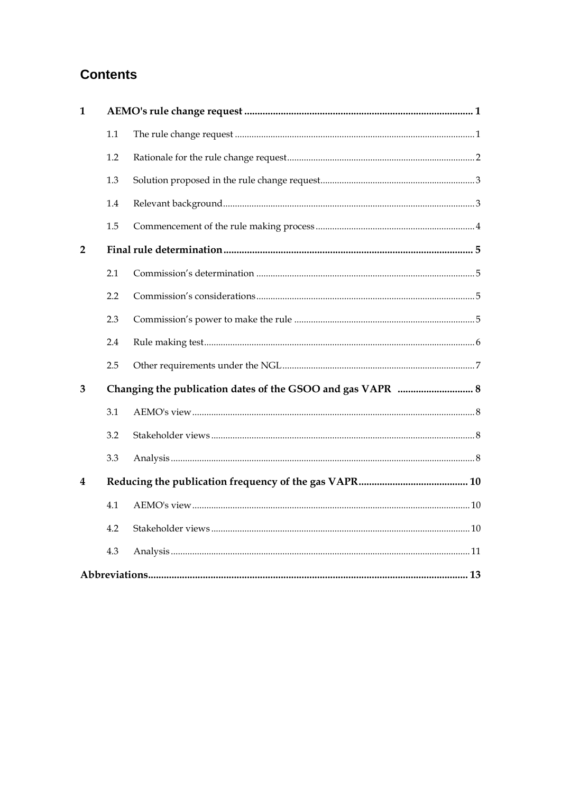## **Contents**

| $\mathbf{1}$   |     |  |  |  |
|----------------|-----|--|--|--|
|                | 1.1 |  |  |  |
|                | 1.2 |  |  |  |
|                | 1.3 |  |  |  |
|                | 1.4 |  |  |  |
|                | 1.5 |  |  |  |
| $\overline{2}$ |     |  |  |  |
|                | 2.1 |  |  |  |
|                | 2.2 |  |  |  |
|                | 2.3 |  |  |  |
|                | 2.4 |  |  |  |
|                | 2.5 |  |  |  |
| 3              |     |  |  |  |
|                | 3.1 |  |  |  |
|                | 3.2 |  |  |  |
|                | 3.3 |  |  |  |
| 4              |     |  |  |  |
|                | 4.1 |  |  |  |
|                | 4.2 |  |  |  |
|                | 4.3 |  |  |  |
|                |     |  |  |  |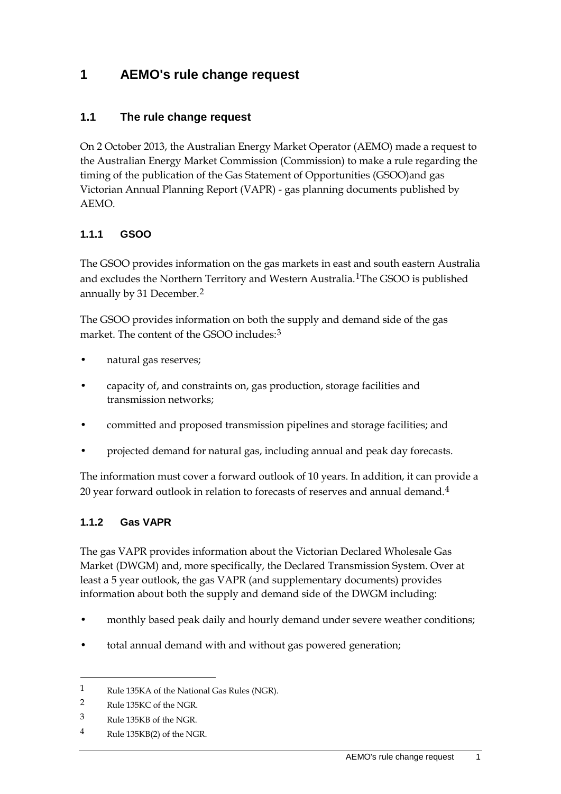### <span id="page-4-0"></span>**1 AEMO's rule change request**

#### <span id="page-4-1"></span>**1.1 The rule change request**

On 2 October 2013, the Australian Energy Market Operator (AEMO) made a request to the Australian Energy Market Commission (Commission) to make a rule regarding the timing of the publication of the Gas Statement of Opportunities (GSOO)and gas Victorian Annual Planning Report (VAPR) - gas planning documents published by AEMO.

#### **1.1.1 GSOO**

The GSOO provides information on the gas markets in east and south eastern Australia and excludes the Northern Territory and Western Australia.[1](#page-4-2)The GSOO is published annually by 31 December.[2](#page-4-3)

The GSOO provides information on both the supply and demand side of the gas market. The content of the GSOO includes:<sup>[3](#page-4-4)</sup>

- natural gas reserves;
- capacity of, and constraints on, gas production, storage facilities and transmission networks;
- committed and proposed transmission pipelines and storage facilities; and
- projected demand for natural gas, including annual and peak day forecasts.

The information must cover a forward outlook of 10 years. In addition, it can provide a 20 year forward outlook in relation to forecasts of reserves and annual demand.<sup>[4](#page-4-5)</sup>

#### **1.1.2 Gas VAPR**

The gas VAPR provides information about the Victorian Declared Wholesale Gas Market (DWGM) and, more specifically, the Declared Transmission System. Over at least a 5 year outlook, the gas VAPR (and supplementary documents) provides information about both the supply and demand side of the DWGM including:

- monthly based peak daily and hourly demand under severe weather conditions;
- total annual demand with and without gas powered generation;

<span id="page-4-2"></span><sup>1</sup> Rule 135KA of the National Gas Rules (NGR).

<span id="page-4-3"></span><sup>2</sup> Rule 135KC of the NGR.

<span id="page-4-4"></span><sup>3</sup> Rule 135KB of the NGR.

<span id="page-4-5"></span><sup>4</sup> Rule 135KB(2) of the NGR.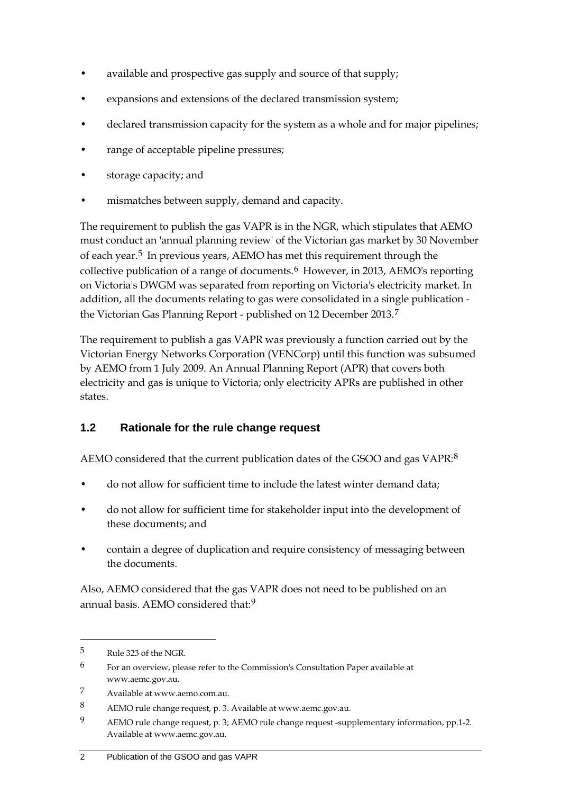- available and prospective gas supply and source of that supply;
- expansions and extensions of the declared transmission system;
- declared transmission capacity for the system as a whole and for major pipelines;
- range of acceptable pipeline pressures;
- storage capacity; and
- mismatches between supply, demand and capacity.

The requirement to publish the gas VAPR is in the NGR, which stipulates that AEMO must conduct an 'annual planning review' of the Victorian gas market by 30 November of each year.<sup>[5](#page-5-1)</sup> In previous years, AEMO has met this requirement through the collective publication of a range of documents.[6](#page-5-2) However, in 2013, AEMO's reporting on Victoria's DWGM was separated from reporting on Victoria's electricity market. In addition, all the documents relating to gas were consolidated in a single publication the Victorian Gas Planning Report - published on 12 December 2013.[7](#page-5-3)

The requirement to publish a gas VAPR was previously a function carried out by the Victorian Energy Networks Corporation (VENCorp) until this function was subsumed by AEMO from 1 July 2009. An Annual Planning Report (APR) that covers both electricity and gas is unique to Victoria; only electricity APRs are published in other states.

### <span id="page-5-0"></span>**1.2 Rationale for the rule change request**

AEMO considered that the current publication dates of the GSOO and gas VAPR:<sup>[8](#page-5-4)</sup>

- do not allow for sufficient time to include the latest winter demand data;
- do not allow for sufficient time for stakeholder input into the development of these documents; and
- contain a degree of duplication and require consistency of messaging between the documents.

Also, AEMO considered that the gas VAPR does not need to be published on an annual basis. AEMO considered that:[9](#page-5-5)

<span id="page-5-1"></span><sup>5</sup> Rule 323 of the NGR.

<span id="page-5-2"></span><sup>6</sup> For an overview, please refer to the Commission's Consultation Paper available at www.aemc.gov.au.

<span id="page-5-3"></span><sup>7</sup> Available at www.aemo.com.au.

<span id="page-5-4"></span><sup>8</sup> AEMO rule change request, p. 3. Available at www.aemc.gov.au.

<span id="page-5-5"></span><sup>9</sup> AEMO rule change request, p. 3; AEMO rule change request -supplementary information, pp.1-2. Available at www.aemc.gov.au.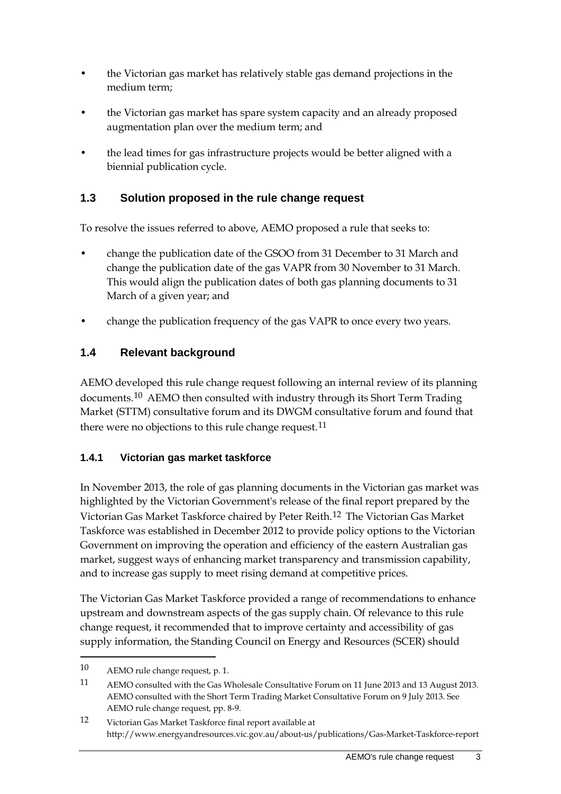- the Victorian gas market has relatively stable gas demand projections in the medium term;
- the Victorian gas market has spare system capacity and an already proposed augmentation plan over the medium term; and
- the lead times for gas infrastructure projects would be better aligned with a biennial publication cycle.

#### <span id="page-6-0"></span>**1.3 Solution proposed in the rule change request**

To resolve the issues referred to above, AEMO proposed a rule that seeks to:

- change the publication date of the GSOO from 31 December to 31 March and change the publication date of the gas VAPR from 30 November to 31 March. This would align the publication dates of both gas planning documents to 31 March of a given year; and
- change the publication frequency of the gas VAPR to once every two years.

#### <span id="page-6-1"></span>**1.4 Relevant background**

AEMO developed this rule change request following an internal review of its planning documents.<sup>[10](#page-6-2)</sup> AEMO then consulted with industry through its Short Term Trading Market (STTM) consultative forum and its DWGM consultative forum and found that there were no objections to this rule change request.<sup>[11](#page-6-3)</sup>

#### **1.4.1 Victorian gas market taskforce**

In November 2013, the role of gas planning documents in the Victorian gas market was highlighted by the Victorian Government's release of the final report prepared by the Victorian Gas Market Taskforce chaired by Peter Reith.[12](#page-6-4) The Victorian Gas Market Taskforce was established in December 2012 to provide policy options to the Victorian Government on improving the operation and efficiency of the eastern Australian gas market, suggest ways of enhancing market transparency and transmission capability, and to increase gas supply to meet rising demand at competitive prices.

The Victorian Gas Market Taskforce provided a range of recommendations to enhance upstream and downstream aspects of the gas supply chain. Of relevance to this rule change request, it recommended that to improve certainty and accessibility of gas supply information, the Standing Council on Energy and Resources (SCER) should

<span id="page-6-2"></span><sup>10</sup> AEMO rule change request, p. 1.

<span id="page-6-3"></span><sup>11</sup> AEMO consulted with the Gas Wholesale Consultative Forum on 11 June 2013 and 13 August 2013. AEMO consulted with the Short Term Trading Market Consultative Forum on 9 July 2013. See AEMO rule change request, pp. 8-9.

<span id="page-6-4"></span><sup>12</sup> Victorian Gas Market Taskforce final report available at http://www.energyandresources.vic.gov.au/about-us/publications/Gas-Market-Taskforce-report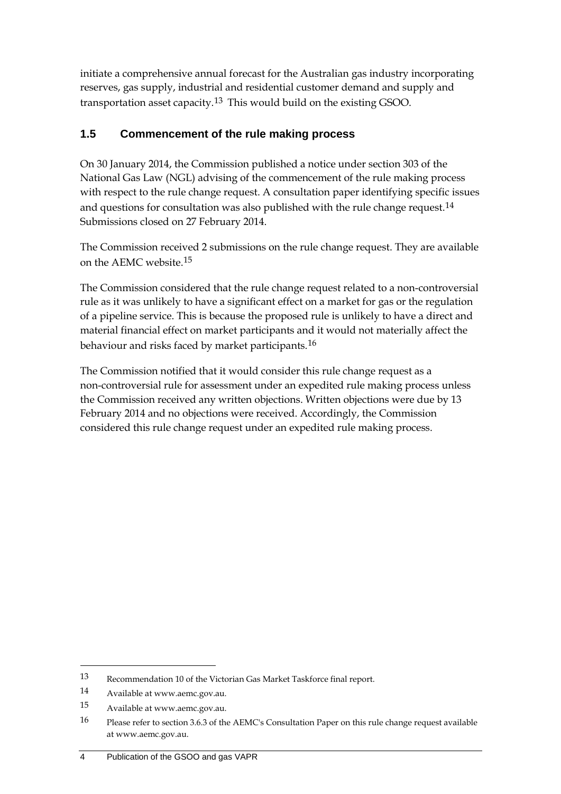initiate a comprehensive annual forecast for the Australian gas industry incorporating reserves, gas supply, industrial and residential customer demand and supply and transportation asset capacity.[13](#page-7-1) This would build on the existing GSOO.

#### <span id="page-7-0"></span>**1.5 Commencement of the rule making process**

On 30 January 2014, the Commission published a notice under section 303 of the National Gas Law (NGL) advising of the commencement of the rule making process with respect to the rule change request. A consultation paper identifying specific issues and questions for consultation was also published with the rule change request.<sup>[14](#page-7-2)</sup> Submissions closed on 27 February 2014.

The Commission received 2 submissions on the rule change request. They are available on the AEMC website.[15](#page-7-3)

The Commission considered that the rule change request related to a non-controversial rule as it was unlikely to have a significant effect on a market for gas or the regulation of a pipeline service. This is because the proposed rule is unlikely to have a direct and material financial effect on market participants and it would not materially affect the behaviour and risks faced by market participants.[16](#page-7-4)

The Commission notified that it would consider this rule change request as a non-controversial rule for assessment under an expedited rule making process unless the Commission received any written objections. Written objections were due by 13 February 2014 and no objections were received. Accordingly, the Commission considered this rule change request under an expedited rule making process.

<span id="page-7-1"></span><sup>13</sup> Recommendation 10 of the Victorian Gas Market Taskforce final report.

<span id="page-7-2"></span><sup>14</sup> Available at www.aemc.gov.au.

<span id="page-7-3"></span><sup>15</sup> Available at www.aemc.gov.au.

<span id="page-7-4"></span><sup>16</sup> Please refer to section 3.6.3 of the AEMC's Consultation Paper on this rule change request available at www.aemc.gov.au.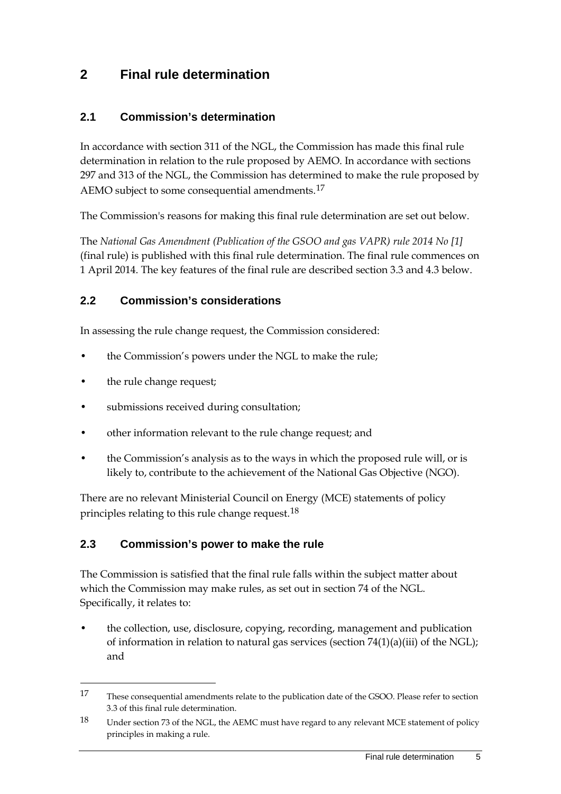### <span id="page-8-0"></span>**2 Final rule determination**

#### <span id="page-8-1"></span>**2.1 Commission's determination**

In accordance with section 311 of the NGL, the Commission has made this final rule determination in relation to the rule proposed by AEMO. In accordance with sections 297 and 313 of the NGL, the Commission has determined to make the rule proposed by AEMO subject to some consequential amendments.<sup>[17](#page-8-4)</sup>

The Commission's reasons for making this final rule determination are set out below.

The *National Gas Amendment (Publication of the GSOO and gas VAPR) rule 2014 No [1]* (final rule) is published with this final rule determination. The final rule commences on 1 April 2014. The key features of the final rule are described section 3.3 and 4.3 below.

#### <span id="page-8-2"></span>**2.2 Commission's considerations**

In assessing the rule change request, the Commission considered:

- the Commission's powers under the NGL to make the rule;
- the rule change request;

-

- submissions received during consultation;
- other information relevant to the rule change request; and
- the Commission's analysis as to the ways in which the proposed rule will, or is likely to, contribute to the achievement of the National Gas Objective (NGO).

There are no relevant Ministerial Council on Energy (MCE) statements of policy principles relating to this rule change request.<sup>[18](#page-8-5)</sup>

#### <span id="page-8-3"></span>**2.3 Commission's power to make the rule**

The Commission is satisfied that the final rule falls within the subject matter about which the Commission may make rules, as set out in section 74 of the NGL. Specifically, it relates to:

• the collection, use, disclosure, copying, recording, management and publication of information in relation to natural gas services (section  $74(1)(a)(iii)$  of the NGL); and

<span id="page-8-4"></span><sup>17</sup> These consequential amendments relate to the publication date of the GSOO. Please refer to section 3.3 of this final rule determination.

<span id="page-8-5"></span><sup>18</sup> Under section 73 of the NGL, the AEMC must have regard to any relevant MCE statement of policy principles in making a rule.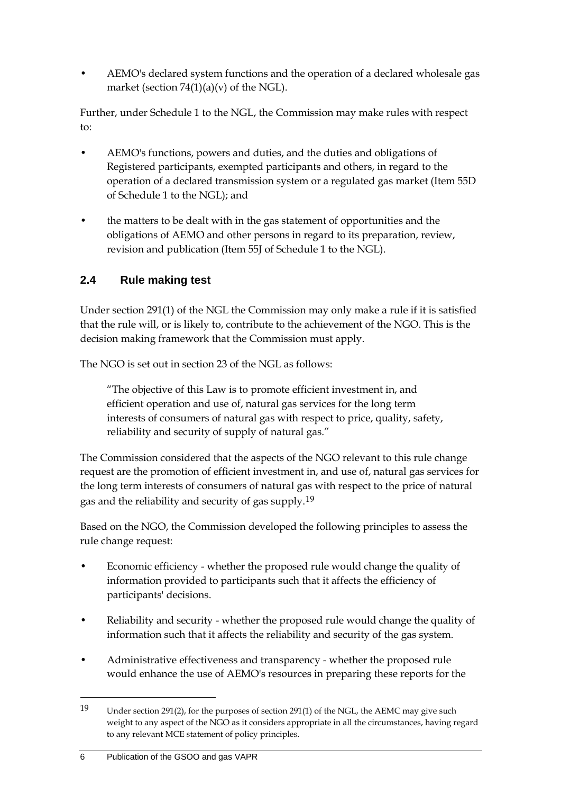• AEMO's declared system functions and the operation of a declared wholesale gas market (section  $74(1)(a)(v)$  of the NGL).

Further, under Schedule 1 to the NGL, the Commission may make rules with respect to:

- AEMO's functions, powers and duties, and the duties and obligations of Registered participants, exempted participants and others, in regard to the operation of a declared transmission system or a regulated gas market (Item 55D of Schedule 1 to the NGL); and
- the matters to be dealt with in the gas statement of opportunities and the obligations of AEMO and other persons in regard to its preparation, review, revision and publication (Item 55J of Schedule 1 to the NGL).

### <span id="page-9-0"></span>**2.4 Rule making test**

Under section 291(1) of the NGL the Commission may only make a rule if it is satisfied that the rule will, or is likely to, contribute to the achievement of the NGO. This is the decision making framework that the Commission must apply.

The NGO is set out in section 23 of the NGL as follows:

"The objective of this Law is to promote efficient investment in, and efficient operation and use of, natural gas services for the long term interests of consumers of natural gas with respect to price, quality, safety, reliability and security of supply of natural gas."

The Commission considered that the aspects of the NGO relevant to this rule change request are the promotion of efficient investment in, and use of, natural gas services for the long term interests of consumers of natural gas with respect to the price of natural gas and the reliability and security of gas supply.<sup>[19](#page-9-1)</sup>

Based on the NGO, the Commission developed the following principles to assess the rule change request:

- Economic efficiency whether the proposed rule would change the quality of information provided to participants such that it affects the efficiency of participants' decisions.
- Reliability and security whether the proposed rule would change the quality of information such that it affects the reliability and security of the gas system.
- Administrative effectiveness and transparency whether the proposed rule would enhance the use of AEMO's resources in preparing these reports for the

<span id="page-9-1"></span><sup>19</sup> Under section 291(2), for the purposes of section 291(1) of the NGL, the AEMC may give such weight to any aspect of the NGO as it considers appropriate in all the circumstances, having regard to any relevant MCE statement of policy principles.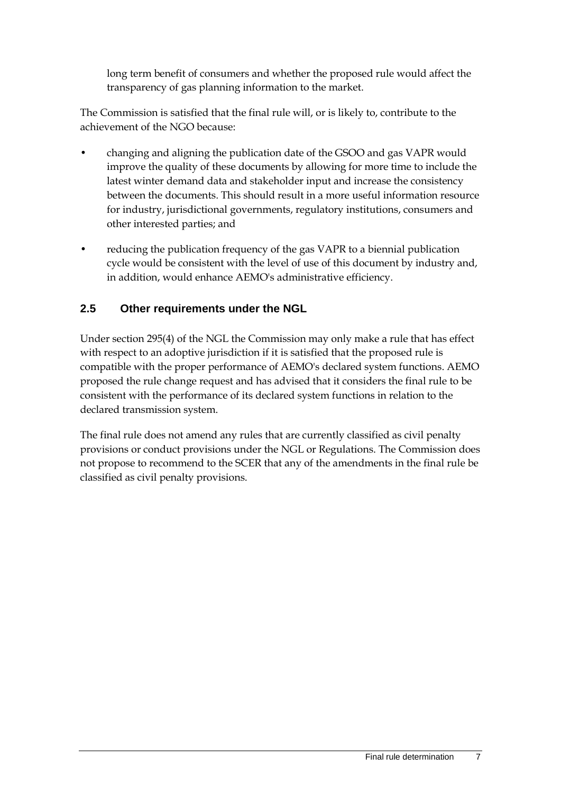long term benefit of consumers and whether the proposed rule would affect the transparency of gas planning information to the market.

The Commission is satisfied that the final rule will, or is likely to, contribute to the achievement of the NGO because:

- changing and aligning the publication date of the GSOO and gas VAPR would improve the quality of these documents by allowing for more time to include the latest winter demand data and stakeholder input and increase the consistency between the documents. This should result in a more useful information resource for industry, jurisdictional governments, regulatory institutions, consumers and other interested parties; and
- reducing the publication frequency of the gas VAPR to a biennial publication cycle would be consistent with the level of use of this document by industry and, in addition, would enhance AEMO's administrative efficiency.

#### <span id="page-10-0"></span>**2.5 Other requirements under the NGL**

Under section 295(4) of the NGL the Commission may only make a rule that has effect with respect to an adoptive jurisdiction if it is satisfied that the proposed rule is compatible with the proper performance of AEMO's declared system functions. AEMO proposed the rule change request and has advised that it considers the final rule to be consistent with the performance of its declared system functions in relation to the declared transmission system.

The final rule does not amend any rules that are currently classified as civil penalty provisions or conduct provisions under the NGL or Regulations. The Commission does not propose to recommend to the SCER that any of the amendments in the final rule be classified as civil penalty provisions.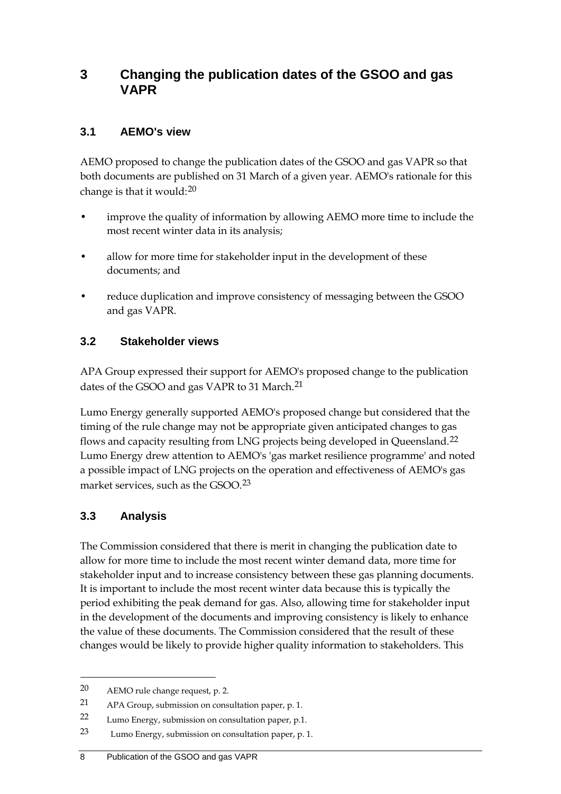### <span id="page-11-0"></span>**3 Changing the publication dates of the GSOO and gas VAPR**

#### <span id="page-11-1"></span>**3.1 AEMO's view**

AEMO proposed to change the publication dates of the GSOO and gas VAPR so that both documents are published on 31 March of a given year. AEMO's rationale for this change is that it would:[20](#page-11-4)

- improve the quality of information by allowing AEMO more time to include the most recent winter data in its analysis;
- allow for more time for stakeholder input in the development of these documents; and
- reduce duplication and improve consistency of messaging between the GSOO and gas VAPR.

#### <span id="page-11-2"></span>**3.2 Stakeholder views**

APA Group expressed their support for AEMO's proposed change to the publication dates of the GSOO and gas VAPR to 31 March.<sup>[21](#page-11-5)</sup>

Lumo Energy generally supported AEMO's proposed change but considered that the timing of the rule change may not be appropriate given anticipated changes to gas flows and capacity resulting from LNG projects being developed in Queensland.[22](#page-11-6) Lumo Energy drew attention to AEMO's 'gas market resilience programme' and noted a possible impact of LNG projects on the operation and effectiveness of AEMO's gas market services, such as the GSOO.[23](#page-11-7)

### <span id="page-11-3"></span>**3.3 Analysis**

-

The Commission considered that there is merit in changing the publication date to allow for more time to include the most recent winter demand data, more time for stakeholder input and to increase consistency between these gas planning documents. It is important to include the most recent winter data because this is typically the period exhibiting the peak demand for gas. Also, allowing time for stakeholder input in the development of the documents and improving consistency is likely to enhance the value of these documents. The Commission considered that the result of these changes would be likely to provide higher quality information to stakeholders. This

<span id="page-11-4"></span><sup>20</sup> AEMO rule change request, p. 2.

<span id="page-11-5"></span><sup>21</sup> APA Group, submission on consultation paper, p. 1.

<span id="page-11-6"></span><sup>22</sup> Lumo Energy, submission on consultation paper, p.1.

<span id="page-11-7"></span><sup>23</sup> Lumo Energy, submission on consultation paper, p. 1.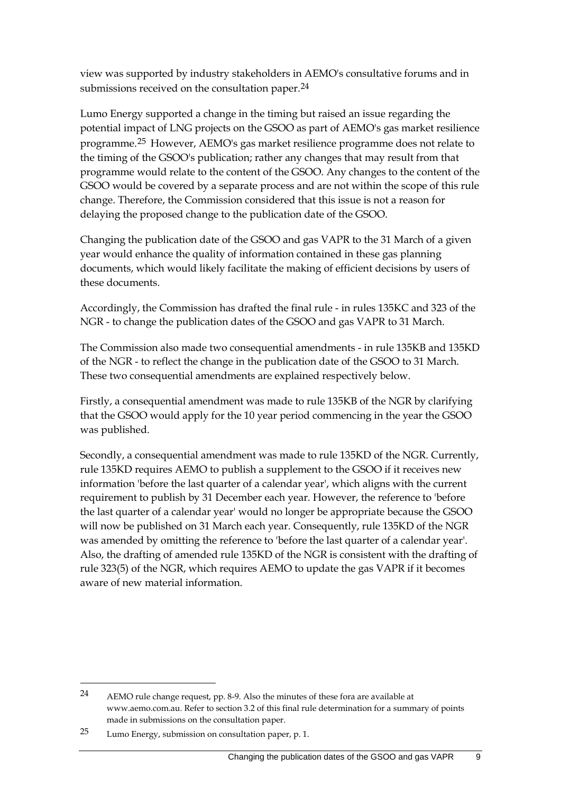view was supported by industry stakeholders in AEMO's consultative forums and in submissions received on the consultation paper.<sup>[24](#page-12-0)</sup>

Lumo Energy supported a change in the timing but raised an issue regarding the potential impact of LNG projects on the GSOO as part of AEMO's gas market resilience programme.[25](#page-12-1) However, AEMO's gas market resilience programme does not relate to the timing of the GSOO's publication; rather any changes that may result from that programme would relate to the content of the GSOO. Any changes to the content of the GSOO would be covered by a separate process and are not within the scope of this rule change. Therefore, the Commission considered that this issue is not a reason for delaying the proposed change to the publication date of the GSOO.

Changing the publication date of the GSOO and gas VAPR to the 31 March of a given year would enhance the quality of information contained in these gas planning documents, which would likely facilitate the making of efficient decisions by users of these documents.

Accordingly, the Commission has drafted the final rule - in rules 135KC and 323 of the NGR - to change the publication dates of the GSOO and gas VAPR to 31 March.

The Commission also made two consequential amendments - in rule 135KB and 135KD of the NGR - to reflect the change in the publication date of the GSOO to 31 March. These two consequential amendments are explained respectively below.

Firstly, a consequential amendment was made to rule 135KB of the NGR by clarifying that the GSOO would apply for the 10 year period commencing in the year the GSOO was published.

Secondly, a consequential amendment was made to rule 135KD of the NGR. Currently, rule 135KD requires AEMO to publish a supplement to the GSOO if it receives new information 'before the last quarter of a calendar year', which aligns with the current requirement to publish by 31 December each year. However, the reference to 'before the last quarter of a calendar year' would no longer be appropriate because the GSOO will now be published on 31 March each year. Consequently, rule 135KD of the NGR was amended by omitting the reference to 'before the last quarter of a calendar year'. Also, the drafting of amended rule 135KD of the NGR is consistent with the drafting of rule 323(5) of the NGR, which requires AEMO to update the gas VAPR if it becomes aware of new material information.

<span id="page-12-0"></span><sup>24</sup> AEMO rule change request, pp. 8-9. Also the minutes of these fora are available at www.aemo.com.au. Refer to section 3.2 of this final rule determination for a summary of points made in submissions on the consultation paper.

<span id="page-12-1"></span><sup>25</sup> Lumo Energy, submission on consultation paper, p. 1.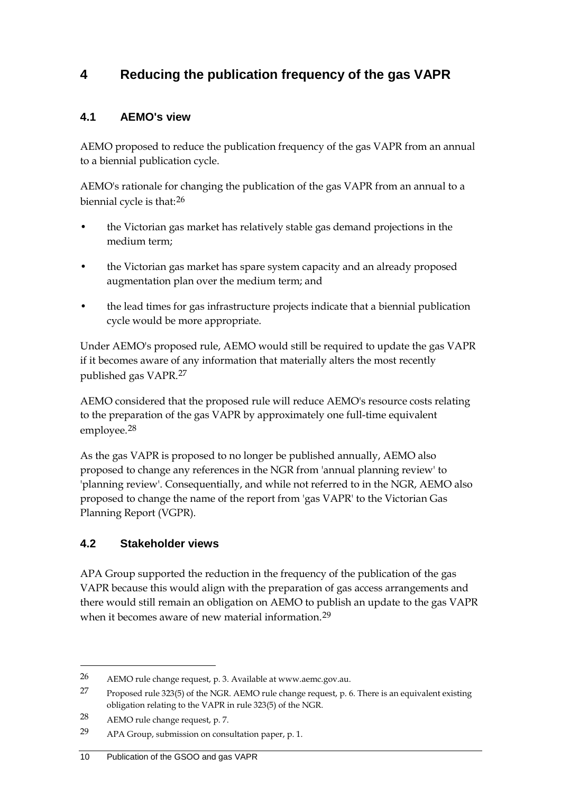## <span id="page-13-0"></span>**4 Reducing the publication frequency of the gas VAPR**

#### <span id="page-13-1"></span>**4.1 AEMO's view**

AEMO proposed to reduce the publication frequency of the gas VAPR from an annual to a biennial publication cycle.

AEMO's rationale for changing the publication of the gas VAPR from an annual to a biennial cycle is that:[26](#page-13-3)

- the Victorian gas market has relatively stable gas demand projections in the medium term;
- the Victorian gas market has spare system capacity and an already proposed augmentation plan over the medium term; and
- the lead times for gas infrastructure projects indicate that a biennial publication cycle would be more appropriate.

Under AEMO's proposed rule, AEMO would still be required to update the gas VAPR if it becomes aware of any information that materially alters the most recently published gas VAPR.[27](#page-13-4)

AEMO considered that the proposed rule will reduce AEMO's resource costs relating to the preparation of the gas VAPR by approximately one full-time equivalent employee.[28](#page-13-5)

As the gas VAPR is proposed to no longer be published annually, AEMO also proposed to change any references in the NGR from 'annual planning review' to 'planning review'. Consequentially, and while not referred to in the NGR, AEMO also proposed to change the name of the report from 'gas VAPR' to the Victorian Gas Planning Report (VGPR).

#### <span id="page-13-2"></span>**4.2 Stakeholder views**

APA Group supported the reduction in the frequency of the publication of the gas VAPR because this would align with the preparation of gas access arrangements and there would still remain an obligation on AEMO to publish an update to the gas VAPR when it becomes aware of new material information.[29](#page-13-6)

<span id="page-13-3"></span><sup>26</sup> AEMO rule change request, p. 3. Available at www.aemc.gov.au.

<span id="page-13-4"></span><sup>27</sup> Proposed rule 323(5) of the NGR. AEMO rule change request, p. 6. There is an equivalent existing obligation relating to the VAPR in rule 323(5) of the NGR.

<span id="page-13-5"></span><sup>28</sup> AEMO rule change request, p. 7.

<span id="page-13-6"></span><sup>29</sup> APA Group, submission on consultation paper, p. 1.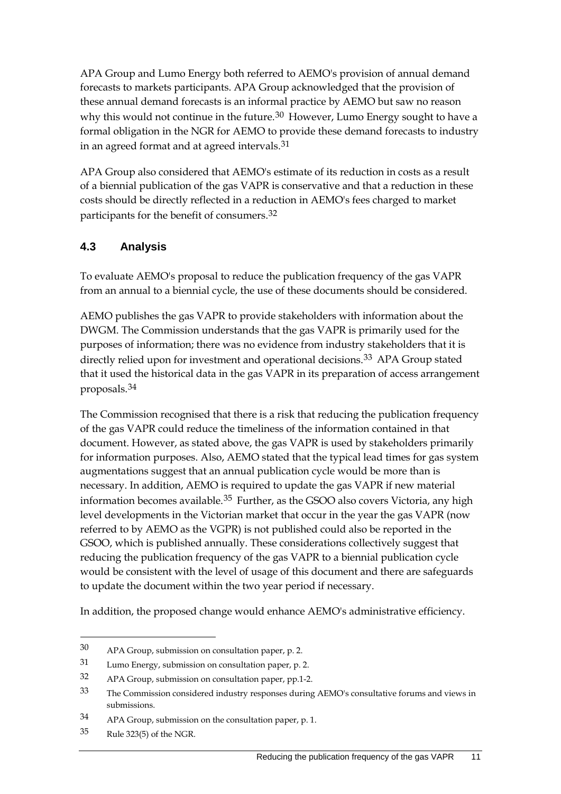APA Group and Lumo Energy both referred to AEMO's provision of annual demand forecasts to markets participants. APA Group acknowledged that the provision of these annual demand forecasts is an informal practice by AEMO but saw no reason why this would not continue in the future. $30$  However, Lumo Energy sought to have a formal obligation in the NGR for AEMO to provide these demand forecasts to industry in an agreed format and at agreed intervals.[31](#page-14-2)

APA Group also considered that AEMO's estimate of its reduction in costs as a result of a biennial publication of the gas VAPR is conservative and that a reduction in these costs should be directly reflected in a reduction in AEMO's fees charged to market participants for the benefit of consumers.[32](#page-14-3)

#### <span id="page-14-0"></span>**4.3 Analysis**

To evaluate AEMO's proposal to reduce the publication frequency of the gas VAPR from an annual to a biennial cycle, the use of these documents should be considered.

AEMO publishes the gas VAPR to provide stakeholders with information about the DWGM. The Commission understands that the gas VAPR is primarily used for the purposes of information; there was no evidence from industry stakeholders that it is directly relied upon for investment and operational decisions.<sup>[33](#page-14-4)</sup> APA Group stated that it used the historical data in the gas VAPR in its preparation of access arrangement proposals.[34](#page-14-5)

The Commission recognised that there is a risk that reducing the publication frequency of the gas VAPR could reduce the timeliness of the information contained in that document. However, as stated above, the gas VAPR is used by stakeholders primarily for information purposes. Also, AEMO stated that the typical lead times for gas system augmentations suggest that an annual publication cycle would be more than is necessary. In addition, AEMO is required to update the gas VAPR if new material information becomes available.[35](#page-14-6) Further, as the GSOO also covers Victoria, any high level developments in the Victorian market that occur in the year the gas VAPR (now referred to by AEMO as the VGPR) is not published could also be reported in the GSOO, which is published annually. These considerations collectively suggest that reducing the publication frequency of the gas VAPR to a biennial publication cycle would be consistent with the level of usage of this document and there are safeguards to update the document within the two year period if necessary.

In addition, the proposed change would enhance AEMO's administrative efficiency.

<span id="page-14-1"></span><sup>30</sup> APA Group, submission on consultation paper, p. 2.

<span id="page-14-2"></span><sup>31</sup> Lumo Energy, submission on consultation paper, p. 2.

<span id="page-14-3"></span><sup>32</sup> APA Group, submission on consultation paper, pp.1-2.

<span id="page-14-4"></span><sup>33</sup> The Commission considered industry responses during AEMO's consultative forums and views in submissions.

<span id="page-14-5"></span><sup>34</sup> APA Group, submission on the consultation paper, p. 1.

<span id="page-14-6"></span><sup>35</sup> Rule 323(5) of the NGR.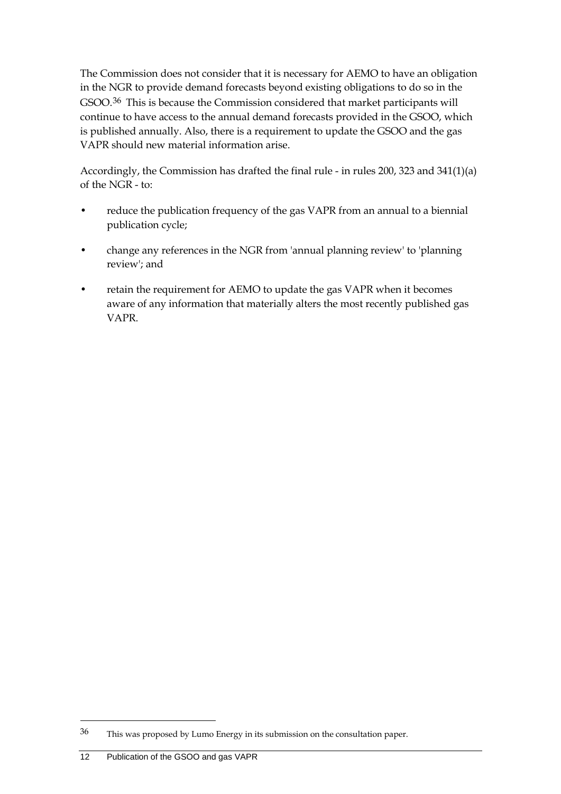The Commission does not consider that it is necessary for AEMO to have an obligation in the NGR to provide demand forecasts beyond existing obligations to do so in the GSOO.[36](#page-15-0) This is because the Commission considered that market participants will continue to have access to the annual demand forecasts provided in the GSOO, which is published annually. Also, there is a requirement to update the GSOO and the gas VAPR should new material information arise.

Accordingly, the Commission has drafted the final rule - in rules 200, 323 and 341(1)(a) of the NGR - to:

- reduce the publication frequency of the gas VAPR from an annual to a biennial publication cycle;
- change any references in the NGR from 'annual planning review' to 'planning review'; and
- retain the requirement for AEMO to update the gas VAPR when it becomes aware of any information that materially alters the most recently published gas VAPR.

<span id="page-15-0"></span><sup>36</sup> This was proposed by Lumo Energy in its submission on the consultation paper.